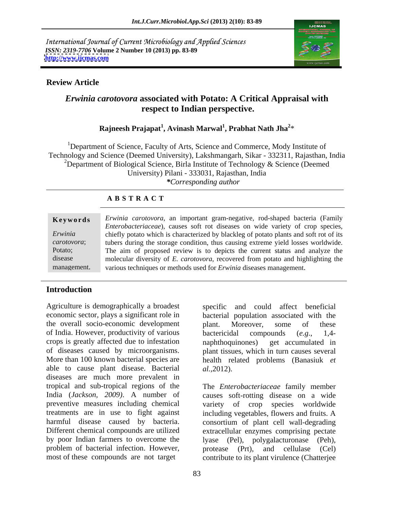International Journal of Current Microbiology and Applied Sciences *ISSN: 2319-7706* **Volume 2 Number 10 (2013) pp. 83-89 <http://www.ijcmas.com>**



## **Review Article**

## *Erwinia carotovora* **associated with Potato: A Critical Appraisal with respect to Indian perspective.**

## **Rajneesh Prajapat<sup>1</sup> , Avinash Marwal<sup>1</sup> , Prabhat Nath Jha<sup>2</sup>**  $*$  and  $*$  and  $*$  and  $*$  and  $*$  and  $*$  and  $*$  and  $*$

<sup>1</sup>Department of Science, Faculty of Arts, Science and Commerce, Mody Institute of Technology and Science (Deemed University), Lakshmangarh, Sikar - 332311, Rajasthan, India <sup>2</sup>Department of Biological Science, Birla Institute of Technology & Science (Deemed University) Pilani - 333031, Rajasthan, India *\*Corresponding author* 

## **A B S T R A C T**

|             | Keywords Erwinia carotovora, an important gram-negative, rod-shaped bacteria (Family   |  |  |
|-------------|----------------------------------------------------------------------------------------|--|--|
|             | Enterobacteriaceae), causes soft rot diseases on wide variety of crop species,         |  |  |
| Erwinia     | chiefly potato which is characterized by blackleg of potato plants and soft rot of its |  |  |
| carotovora  | tubers during the storage condition, thus causing extreme yield losses worldwide.      |  |  |
| Potato;     | The aim of proposed review is to depicts the current status and analyze the            |  |  |
| disease     | molecular diversity of E. carotovora, recovered from potato and highlighting the       |  |  |
| management. | various techniques or methods used for <i>Erwinia</i> diseases management.             |  |  |

## **Introduction**

Agriculture is demographically a broadest specific and could affect beneficial economic sector, plays a significant role in bacterial population associated with the the overall socio-economic development blant. Moreover, some of these of India. However, productivity of various bactericidal compounds (e.g., 1,4crops is greatly affected due to infestation aphthoquinones) get accumulated in of diseases caused by microorganisms. plant tissues, which in turn causes several More than 100 known bacterial species are health related problems (Banasiuk *et*  able to cause plant disease. Bacterial *al.*, 2012). diseases are much more prevalent in tropical and sub-tropical regions of the The *Enterobacteriaceae* family member India (*Jackson, 2009)*. A number of causes soft-rotting disease on a wide preventive measures including chemical variety of crop species worldwide treatments are in use to fight against including vegetables, flowers and fruits. A harmful disease caused by bacteria. consortium of plant cell wall-degrading Different chemical compounds are utilized extracellular enzymes comprising pectate by poor Indian farmers to overcome the lyase (Pel), polygalacturonase (Peh), problem of bacterial infection. However, protease (Prt), and cellulase (Cel)

plant. Moreover, some of these bactericidal compounds (*e.g*., 1,4 naphthoquinones) get accumulated in

most of these compounds are not target contribute to its plant virulence (Chatterjee *al.,*2012). The *Enterobacteriaceae* family member protease (Prt), and cellulase (Cel)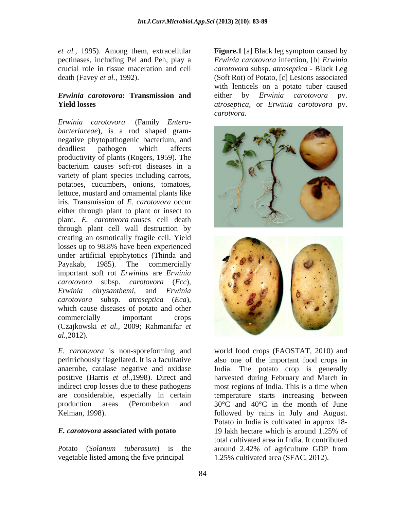*et al.,* 1995). Among them, extracellular **Figure.1** [a] Black leg symptom caused by

# *Erwinia carotovora***: Transmission and**

*bacteriaceae*), is a rod shaped gram negative phytopathogenic bacterium, and productivity of plants (Rogers, 1959). The bacterium causes soft-rot diseases in a variety of plant species including carrots, potatoes, cucumbers, onions, tomatoes, lettuce, mustard and ornamental plants like iris. Transmission of *E. carotovora* occur either through plant to plant or insect to plant. *E. carotovora* causes cell death through plant cell wall destruction by creating an osmotically fragile cell. Yield losses up to 98.8% have been experienced under artificial epiphytotics (Thinda and Payakab, 1985). The commercially important soft rot *Erwinias* are *Erwinia carotovora* subsp. *atroseptica* (*Eca*), which cause diseases of potato and other (Czajkowski *et al.,* 2009; Rahmanifar *et* 

*E. carotovora* is non-sporeforming and world food crops (FAOSTAT, 2010) and peritrichously flagellated. It is a facultative also one of the important food crops in anaerobe, catalase negative and oxidase India. The potato crop is generally positive (Harris *et al.,*1998). Direct and harvested during February and March in indirect crop losses due to these pathogens most regions of India. This is a time when are considerable, especially in certain temperature starts increasing between production areas (Perombelon and 30°C and 40°C in the month of June

vegetable listed among the five principal

pectinases, including Pel and Peh, play a *Erwinia carotovora* infection, [b] *Erwinia*  crucial role in tissue maceration and cell *carotovora* subsp. *atroseptica* - Black Leg death (Favey *et al.,* 1992). (Soft Rot) of Potato, [c] Lesions associated **Yield losses** *atroseptica*, or *Erwinia carotovora* pv. with lenticels on a potato tuber caused either by *Erwinia carotovora* pv. *carotvora*.



Kelman, 1998). followed by rains in July and August. *E. carotovora* **associated with potato** Potato (*Solanum tuberosum*) is the around 2.42% of agriculture GDP from Potato in India is cultivated in approx 18- 19 lakh hectare which is around 1.25% of total cultivated area in India. It contributed 1.25% cultivated area (SFAC, 2012).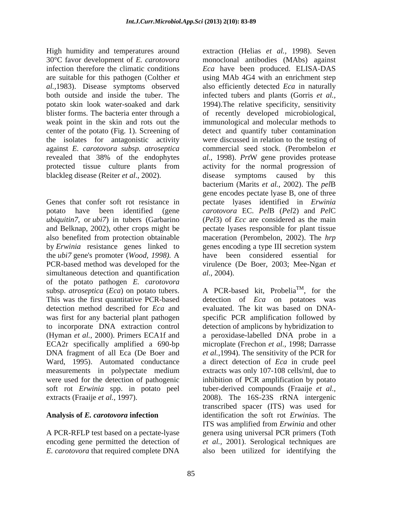High humidity and temperatures around 30°C favor development of *E. carotovora* monoclonal antibodies (MAbs) against infection therefore the climatic conditions *Eca* have been produced. ELISA-DAS are suitable for this pathogen (Colther *et*  using MAb 4G4 with an enrichment step *al.,*1983). Disease symptoms observed both outside and inside the tuber. The infected tubers and plants (Gorris *et al.,* potato skin look water-soaked and dark 1994). The relative specificity, sensitivity blister forms. The bacteria enter through a of recently developed microbiological, weak point in the skin and rots out the immunological and molecular methods to center of the potato (Fig. 1). Screening of detect and quantify tuber contamination the isolates for antagonistic activity against *E. carotovora subsp. atroseptica* revealed that 38% of the endophytes al., 1998). PrtW gene provides protease protected tissue culture plants from activity for the normal progression of blackleg disease (Reiter *et al*., 2002).

*ubiquitin7*, or *ubi7*) in tubers (Garbarino by *Erwinia* resistance genes linked to genes encoding a type III secretion system the *ubi7* gene's promoter (*Wood, 1998).* A simultaneous detection and quantification *al.*, 2004). of the potato pathogen *E. carotovora* was first for any bacterial plant pathogen to incorporate DNA extraction control measurements in polypectate medium

A PCR-RFLP test based on a pectate-lyase *E. carotovora* that required complete DNA also been utilized for identifying the

gene encodes pectate lyase B, one of three<br>Genes that confer soft rot resistance in pectate lyases identified in *Erwinia* potato have been identified (gene *carotovora* EC. *Pel*B (*Pel*2) and *Pel*C and Belknap, 2002), other crops might be pectate lyases responsible for plant tissue also benefited from protection obtainable maceration (Perombelon, 2002). The *hrp*  PCR-based method was developed for the virulence (De Boer, 2003; Mee-Ngan *et*  extraction (Helias *et al.,* 1998). Seven also efficiently detected *Eca* in naturally were discussed in relation to the testing of commercial seed stock. (Perombelon *et al.,* 1998). *Prt*W gene provides protease disease symptoms caused by this bacterium (Marits *et al.,* 2002). The *pel*B gene encodes pectate lyase B, one of three pectate lyases identified in *Erwinia*  (*Pel*3) of *Ecc* are considered as the main genes encoding a type III secretion system have been considered essential for *al.,* 2004).

subsp. *atroseptica* (*Eca*) on potato tubers. A PCR-based kit, Probelia<sup>1M</sup>, for the This was the first quantitative PCR-based detection of *Eca* on potatoes was detection method described for *Eca* and evaluated. The kit was based on DNA- (Hyman *et al.,* 2000). Primers ECA1f and a peroxidase-labelled DNA probe in a ECA2r specifically amplified a 690-bp microplate (Frechon *et al.,* 1998; Darrasse DNA fragment of all Eca (De Boer and *et al.,*1994). The sensitivity of the PCR for Ward, 1995). Automated conductance a direct detection of *Eca* in crude peel were used for the detection of pathogenic inhibition of PCR amplification by potato soft rot *Erwinia* spp. in potato peel tuber-derived compounds (Fraaije *et al.,* extracts (Fraaije *et al.,* 1997). 2008). The 16S-23S rRNA intergenic **Analysis of** *E. carotovora* **infection** identification the soft rot *Erwinias*. The encoding gene permitted the detection of *et al.,* 2001). Serological techniques are  $TM$  for the , for the specific PCR amplification followed by detection of amplicons by hybridization to extracts was only 107-108 cells/ml, due to transcribed spacer (ITS) was used for ITS was amplified from *Erwinia* and other genera using universal PCR primers (Toth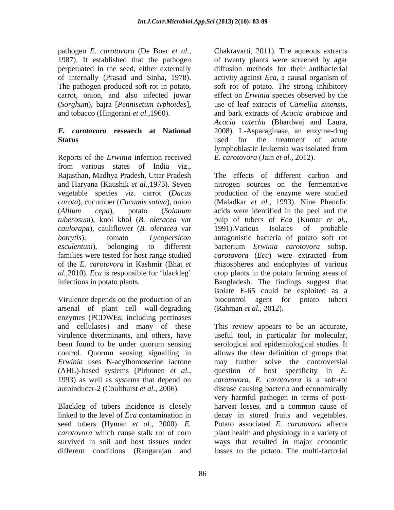perpetuated in the seed, either externally of internally (Prasad and Sinha, 1978). activity against *Eca*, a causal organism of (*Sorghum*), bajra [*Pennisetum typhoides*], and tobacco (Hingorani *et al.*, 1960). and bark extracts of *Acacia arabicae* and

Reports of the *Erwinia* infection received from various states of India viz., Rajasthan, Madhya Pradesh, Uttar Pradesh *caulorapa*), cauliflower (*B. oleracea* var families were tested for host range studied carotovora (Ecc) were extracted from

Virulence depends on the production of an biocontrol agent for potato tubers arsenal of plant cell wall-degrading enzymes (PCDWEs; including pectinases<br>and cellulases) and many of these control. Quorum sensing signalling in 1993) as well as systems that depend on

Blackleg of tubers incidence is closely linked to the level of *Eca* contamination in different conditions (Rangarajan and

pathogen *E. carotovora* (De Boer *et al.*, Chakravarti, 2011). The aqueous extracts 1987). It established that the pathogen of twenty plants were screened by agar The pathogen produced soft rot in potato, soft rot of potato. The strong inhibitory carrot, onion, and also infected jowar effect on *Erwinia* species observed by the *E. carotovora* **research at National** 2008). L-Asparaginase, an enzyme-drug **Status** and the treatment of acute strategy and the treatment of acute strategy and the treatment of acute Chakravarti, 2011). The aqueous extracts of twenty plants were screened by agar diffusion methods for their antibacterial activity against *Eca*, a causal organism of use of leaf extracts of *Camellia sinensis*, and bark extracts of *Acacia arabicae* and *Acacia catechu* (Bhardwaj and Laura, used for the treatment of acute lymphoblastic leukemia was isolated from *E. carotovora* (Jain *et al.,* 2012).

and Haryana (Kaushik *et al.,*1973). Seven nitrogen sources on the fermentative vegetable species *viz.* carrot (*Dacus*  production of the enzyme were studied *carota*), cucumber (*Cucumis sativa*), onion (Maladkar *et al.,* 1993). Nine Phenolic (*Allium cepa*), potato (*Solanum*  acids were identified in the peel and the *tuberosum*), knol khol (*B. oleracea* var pulp of tubers of *Eca* (Kumar *et al*., *botrytis*), tomato *Lycopersicon*  antagonistic bacteria of potato soft rot *esculentum*), belonging to different bacterium *Erwinia carotovora* subsp. of the *E. carotovora* in Kashmir (Bhat *et*  rhizospheres and endophytes of various *al.*, 2010). *Eca* is responsible for 'blackleg' crop plants in the potato farming areas of infections in potato plants. Bangladesh. The findings suggest that The effects of different carbon and 1991).Various Isolates of probable *carotovora* (*Ecc*) were extracted from isolate E-65 could be exploited as a biocontrol agent for potato (Rahman *et al.,* 2012).

and cellulases) and many of these This review appears to be an accurate, virulence determinants, and others, have useful tool, in particular for molecular, been found to be under quorum sensing serological and epidemiological studies. It *Erwinia* uses N-acylhomoserine lactone may further solve the controversial (AHL)-based systems (Pirhonen *et al.,* question of host specificity in *E.*  autoinducer-2 (Coulthurst *et al.,* 2006). disease causing bacteria and economically seed tubers (Hyman *et al.,* 2000). *E.*  Potato associated *E. carotovora* affects *carotovora* which cause stalk rot of corn plant health and physiology in a variety of survived in soil and host tissues under ways that resulted in major economic allows the clear definition of groups that *carotovora*. *E. carotovora* is a soft-rot very harmful pathogen in terms of post harvest losses, and a common cause of decay in stored fruits and vegetables. losses to the potato. The multi-factorial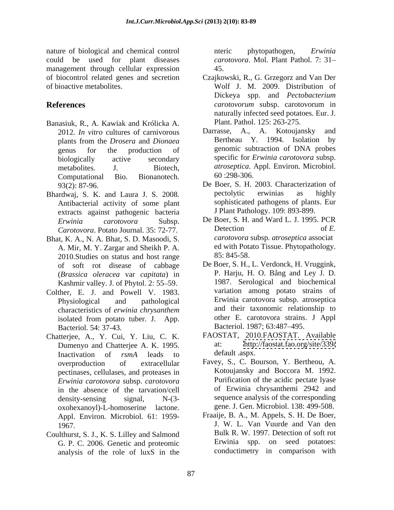nature of biological and chemical control the enterical phytopathogen, *Erwinia* could be used for plant diseases *carotovora*. Mol. Plant Pathol. 7: 31 management through cellular expression 45.

- Banasiuk, R., A. Kawiak and Królicka A. Plant. Pathol. 125: 263-275.<br>2012 *In vitro cultures of carnivorous* Darrasse. A., A. Kotoujansky and 2012. *In vitro* cultures of carnivorous Computational Bio. Bionanotech.
- Bhardwaj, S. K. and Laura J. S. 2008. Pectolytic erwinias as highly Antibacterial activity of some plant extracts against pathogenic bacteria
- Bhat, K. A., N. A. Bhat, S. D. Masoodi, S. A. Mir, M. Y. Zargar and Sheikh P. A. b ed with Pota<br>2010 Studies on status and host range 85: 845-58. 2010.Studies on status and host range of soft rot disease of cabbage (*Brassica oleracea* var *capitata*) in Kashmir valley. J. of Phytol. 2: 55-59.
- Colther, E. J. and Powell V. 1983. Bacteriol. 54: 37-43. Bacteriol. 1987; 63:487-495.
- Chatterjee, A., Y. Cui, Y. Liu, C. K. Dumenyo and Chatterjee A. K. 1995. at: http:<br>Inactivation of rsmA leads to default aspx. Inactivation of *rsmA* leads to pectinases, cellulases, and proteases in *Erwinia carotovora* subsp. *carotovora*  in the absence of the tarvation/cell oxohexanoyl)-L-homoserine lactone. gene. J. Gen. Microbiol. 138: 499-508. Appl. Environ. Microbiol. 61: 1959-
- Coulthurst, S. J., K. S. Lilley and Salmond G. P. C. 2006. Genetic and proteomic analysis of the role of luxS in the

nteric phytopathogen, *Erwinia*  45.

- of biocontrol related genes and secretion Czajkowski, R., G. Grzegorz and Van Der of bioactive metabolites. Wolf J. M. 2009. Distribution of **References** *carotovorum* subsp. carotovorum in Dickeya spp. and *Pectobacterium carotovorum* subsp. carotovorum in naturally infected seed potatoes. Eur. J. Plant. Pathol. 125: 263-275.
	- plants from the *Drosera* and *Dionaea* genus for the production of genomic subtraction of DNA probes biologically active secondary specific for *Erwinia carotovora* subsp. metabolites. J. Biotech, *atroseptica*. Appl. Environ. Microbiol. Darrasse, A., A. Kotoujansky Bertheau Y. 1994. Isolation by specific for *Erwinia carotovora* subsp. 60 :298-306.
	- 93(2): 87-96. De Boer, S. H. 2003. Characterization of pectolytic erwinias as highly sophisticated pathogens of plants. Eur J Plant Pathology. 109: 893-899.
	- *Erwinia carotovora* Subsp. De Boer, S. H. and Ward L. J. 1995. PCR *Carotovora*. Potato Journal. 35: 72-77. Detection of E.<br> **EXECUTE:** Carotovora subsp. *atroseptica* associating the K A N A Rhat S D Masoodi S Detection of *E. carotovora* subsp. *atroseptica* associat ed with Potato Tissue. Phytopathology. 85: 845-58.
	- Physiological and pathological Erwinia carotovora subsp. atroseptica characteristics of *erwinia chrysanthem* isolated from potato tuber*.* J. App. De Boer, S. H., L. Verdonck, H. Vruggink, P. Harju, H. O. Bång and Ley J. D. 1987. Serological and biochemical variation among potato strains of and their taxonomic relationship to other E. carotovora strains. J Appl
		- FAOSTAT, 2010.FAOSTAT. Available <http://faostat.fao.org/site/339/> default .aspx.
	- overproduction of extracellular Favey, S., C. Bourson, Y. Bertheou, A. density-sensing signal, N-(3- sequence analysis of the corresponding Kotoujansky and Boccora M. 1992. Purification of the acidic pectate lyase of Erwinia chrysanthemi 2942 and
	- 1967. J. W. L. Van Vuurde and Van den Fraaije, B. A., M. Appels, S. H. De Boer, Bulk R. W. 1997. Detection of soft rot Erwinia spp. on seed potatoes: conductimetry in comparison with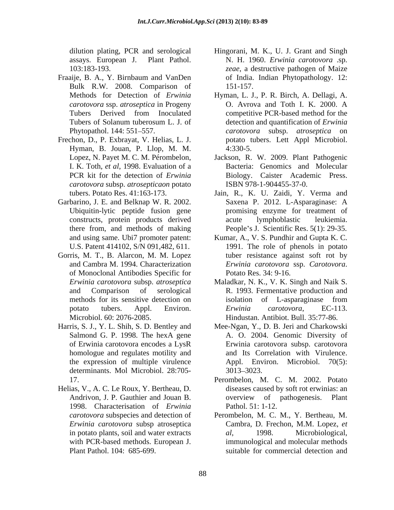- Fraaije, B. A., Y. Birnbaum and VanDen Bulk R.W. 2008. Comparison of
- Frechon, D., P. Exbrayat, V. Helias, L. J. Hyman, B. Jouan, P. Llop, M. M. Lopez, N. Payet M. C. M. Pérombelon, Jackson, R. W. 2009. Plant Pathogenic *carotovora* subsp. *atrosepticaon* potato
- Garbarino, J. E. and Belknap W. R. 2002. Ubiquitin-lytic peptide fusion gene
- Gorris, M. T., B. Alarcon, M. M. Lopez of Monoclonal Antibodies Specific for
- of Erwinia carotovora encodes a LysR homologue and regulates motility and determinants. Mol Microbiol. 28:705-<br>3013-3023.
- Helias, V., A. C. Le Roux, Y. Bertheau, D. 1998. Characterisation of *Erwinia*
- dilution plating, PCR and serological Hingorani, M. K., U. J. Grant and Singh assays. European J. Plant Pathol. N. H. 1960. *Erwinia carotovora* .sp. 103:183-193. *zeae*, a destructive pathogen of Maize of India. Indian Phytopathology. 12: 151-157.
- Methods for Detection of *Erwinia*  Hyman, L. J., P. R. Birch, A. Dellagi, A. *carotovora* ssp. *atroseptica* in Progeny Tubers Derived from Inoculated competitive PCR-based method for the Tubers of Solanum tuberosum L. J. of detection and quantification of *Erwinia* Phytopathol. 144: 551–557. *carotovora* subsp. *atroseptica* on O. Avrova and Toth I. K. 2000. A competitive PCR-based method for the detection and quantification of *Erwinia*  potato tubers. Lett Appl Microbiol. 4:330-5.
- I. K. Toth, *et al*, 1998. Evaluation of a Bacteria: Genomics and Molecular PCR kit for the detection of *Erwinia*  Biology. Caister Academic Press. ISBN 978-1-904455-37-0.
- tubers. Potato Res. 41:163-173. Jain, R., K. U. Zaidi, Y. Verma and constructs, protein products derived there from, and methods of making People's J. Scientific Res. 5(1): 29-35. Saxena P. 2012. L-Asparaginase: A promising enzyme for treatment of acute lymphoblastic leukiemia.
- and using same. Ubi7 promoter patent: Kumar, A., V. S. Pundhir and Gupta K. C. U.S. Patent 414102, S/N 091,482, 611. 1991. The role of phenols in potato and Cambra M. 1994. Characterization *Erwinia carotovora* ssp. Carotovora. tuber resistance against soft rot by *Erwinia carotovora* ssp. *Carotovora*. Potato Res. 34: 9-16.
- *Erwinia carotovora* subsp. *atroseptica* Maladkar, N. K., V. K. Singh and Naik S. and Comparison of serological R. 1993. Fermentative production and methods for its sensitive detection on isolation of L-asparaginase from potato tubers. Appl. Environ. *Erwinia carotovora*, EC-113. Microbiol. 60: 2076-2085. Hindustan. Antibiot. Bull. 35:77-86. isolation of L-asparaginase from *Erwinia carotovora*, EC-113.
- Harris, S. J., Y. L. Shih, S. D. Bentley and Mee-Ngan, Y., D. B. Jeri and Charkowski Salmond G. P. 1998. The hexA gene A. O. 2004. Genomic Diversity of the expression of multiple virulence Appl. Environ. Microbiol. 70(5): Erwinia carotovora subsp. carotovora and Its Correlation with Virulence. Appl. Environ. Microbiol. 70(5): 3013 3023.
	- 17. Perombelon, M. C. M. 2002. Potato Andrivon, J. P. Gauthier and Jouan B. diseases caused by soft rot erwinias: an overview of pathogenesis. Plant Pathol. 51: 1-12.
	- *carotovora* subspecies and detection of Perombelon, M. C. M., Y. Bertheau, M. *Erwinia carotovora* subsp atroseptica Cambra, D. Frechon, M.M. Lopez, *et*  in potato plants, soil and water extracts al, 1998. Microbiological, with PCR-based methods. European J. immunological and molecular methods Plant Pathol. 104: 685-699. suitable for commercial detection and*al*, 1998. Microbiological,